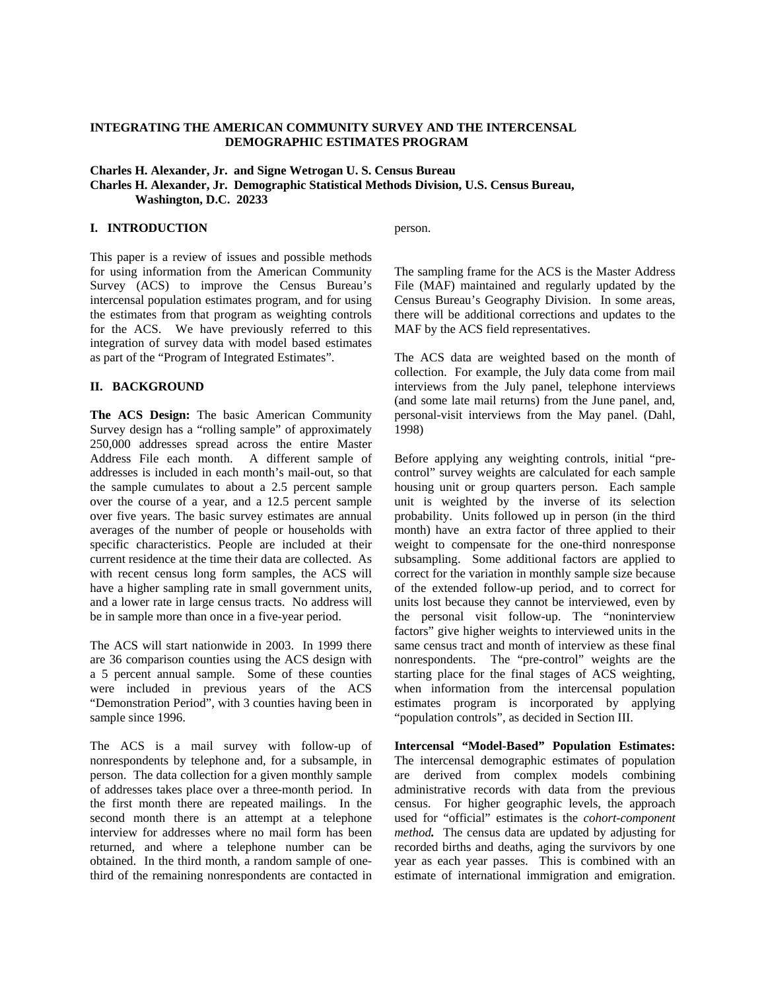# **INTEGRATING THE AMERICAN COMMUNITY SURVEY AND THE INTERCENSAL DEMOGRAPHIC ESTIMATES PROGRAM**

**Charles H. Alexander, Jr. and Signe Wetrogan U. S. Census Bureau Charles H. Alexander, Jr. Demographic Statistical Methods Division, U.S. Census Bureau, Washington, D.C. 20233** 

### **I. INTRODUCTION**

person.

This paper is a review of issues and possible methods for using information from the American Community Survey (ACS) to improve the Census Bureau's intercensal population estimates program, and for using the estimates from that program as weighting controls for the ACS. We have previously referred to this integration of survey data with model based estimates as part of the "Program of Integrated Estimates".

### **II. BACKGROUND**

**The ACS Design:** The basic American Community Survey design has a "rolling sample" of approximately 250,000 addresses spread across the entire Master Address File each month. A different sample of addresses is included in each month's mail-out, so that the sample cumulates to about a 2.5 percent sample over the course of a year, and a 12.5 percent sample over five years. The basic survey estimates are annual averages of the number of people or households with specific characteristics. People are included at their current residence at the time their data are collected. As with recent census long form samples, the ACS will have a higher sampling rate in small government units, and a lower rate in large census tracts. No address will be in sample more than once in a five-year period.

The ACS will start nationwide in 2003. In 1999 there are 36 comparison counties using the ACS design with a 5 percent annual sample. Some of these counties were included in previous years of the ACS "Demonstration Period", with 3 counties having been in sample since 1996.

The ACS is a mail survey with follow-up of nonrespondents by telephone and, for a subsample, in person. The data collection for a given monthly sample of addresses takes place over a three-month period. In the first month there are repeated mailings. In the second month there is an attempt at a telephone interview for addresses where no mail form has been returned, and where a telephone number can be obtained. In the third month, a random sample of onethird of the remaining nonrespondents are contacted in The sampling frame for the ACS is the Master Address File (MAF) maintained and regularly updated by the Census Bureau's Geography Division. In some areas, there will be additional corrections and updates to the MAF by the ACS field representatives.

The ACS data are weighted based on the month of collection. For example, the July data come from mail interviews from the July panel, telephone interviews (and some late mail returns) from the June panel, and, personal-visit interviews from the May panel. (Dahl, 1998)

Before applying any weighting controls, initial "precontrol" survey weights are calculated for each sample housing unit or group quarters person. Each sample unit is weighted by the inverse of its selection probability. Units followed up in person (in the third month) have an extra factor of three applied to their weight to compensate for the one-third nonresponse subsampling. Some additional factors are applied to correct for the variation in monthly sample size because of the extended follow-up period, and to correct for units lost because they cannot be interviewed, even by the personal visit follow-up. The "noninterview factors" give higher weights to interviewed units in the same census tract and month of interview as these final nonrespondents. The "pre-control" weights are the starting place for the final stages of ACS weighting, when information from the intercensal population estimates program is incorporated by applying "population controls", as decided in Section III.

**Intercensal "Model-Based" Population Estimates:**  The intercensal demographic estimates of population are derived from complex models combining administrative records with data from the previous census. For higher geographic levels, the approach used for "official" estimates is the *cohort-component method.* The census data are updated by adjusting for recorded births and deaths, aging the survivors by one year as each year passes. This is combined with an estimate of international immigration and emigration.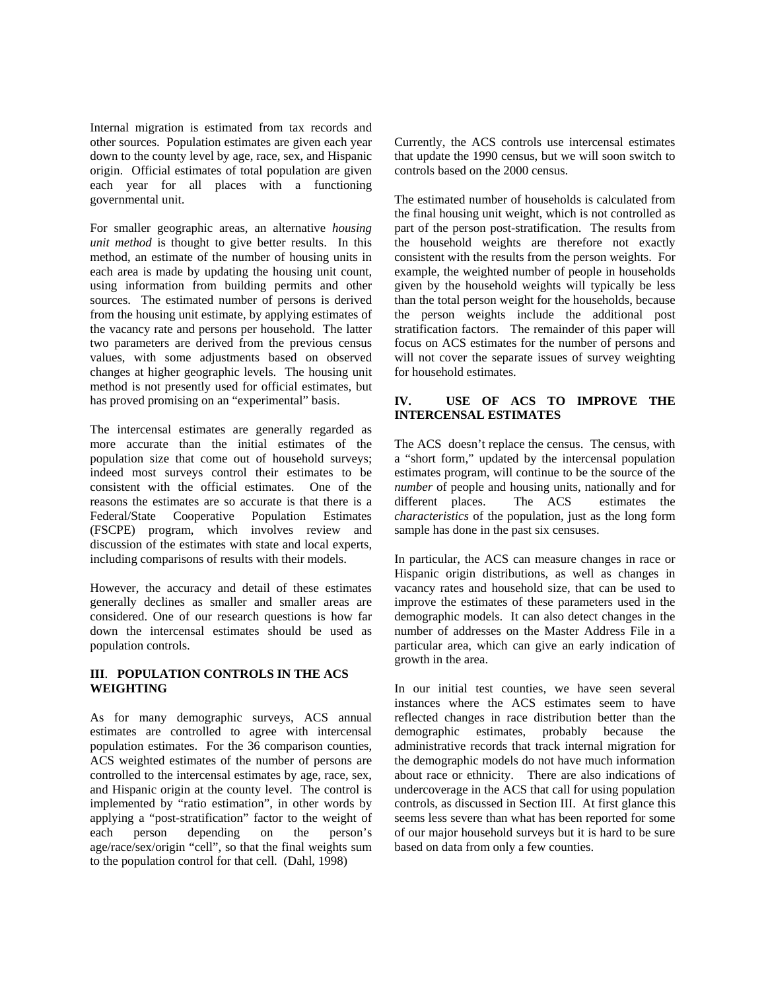Internal migration is estimated from tax records and other sources. Population estimates are given each year down to the county level by age, race, sex, and Hispanic origin. Official estimates of total population are given each year for all places with a functioning governmental unit.

For smaller geographic areas, an alternative *housing unit method* is thought to give better results. In this method, an estimate of the number of housing units in each area is made by updating the housing unit count, using information from building permits and other sources. The estimated number of persons is derived from the housing unit estimate, by applying estimates of the vacancy rate and persons per household. The latter two parameters are derived from the previous census values, with some adjustments based on observed changes at higher geographic levels. The housing unit method is not presently used for official estimates, but has proved promising on an "experimental" basis.

The intercensal estimates are generally regarded as more accurate than the initial estimates of the population size that come out of household surveys; indeed most surveys control their estimates to be consistent with the official estimates. One of the reasons the estimates are so accurate is that there is a Federal/State Cooperative Population Estimates (FSCPE) program, which involves review and discussion of the estimates with state and local experts, including comparisons of results with their models.

However, the accuracy and detail of these estimates generally declines as smaller and smaller areas are considered. One of our research questions is how far down the intercensal estimates should be used as population controls.

# **III**. **POPULATION CONTROLS IN THE ACS WEIGHTING**

As for many demographic surveys, ACS annual estimates are controlled to agree with intercensal population estimates. For the 36 comparison counties, ACS weighted estimates of the number of persons are controlled to the intercensal estimates by age, race, sex, and Hispanic origin at the county level. The control is implemented by "ratio estimation", in other words by applying a "post-stratification" factor to the weight of each person depending on the person's age/race/sex/origin "cell", so that the final weights sum to the population control for that cell. (Dahl, 1998)

Currently, the ACS controls use intercensal estimates that update the 1990 census, but we will soon switch to controls based on the 2000 census.

The estimated number of households is calculated from the final housing unit weight, which is not controlled as part of the person post-stratification. The results from the household weights are therefore not exactly consistent with the results from the person weights. For example, the weighted number of people in households given by the household weights will typically be less than the total person weight for the households, because the person weights include the additional post stratification factors. The remainder of this paper will focus on ACS estimates for the number of persons and will not cover the separate issues of survey weighting for household estimates.

# **IV. USE OF ACS TO IMPROVE THE INTERCENSAL ESTIMATES**

The ACS doesn't replace the census. The census, with a "short form," updated by the intercensal population estimates program, will continue to be the source of the *number* of people and housing units, nationally and for different places. The ACS estimates the *characteristics* of the population, just as the long form sample has done in the past six censuses.

In particular, the ACS can measure changes in race or Hispanic origin distributions, as well as changes in vacancy rates and household size, that can be used to improve the estimates of these parameters used in the demographic models. It can also detect changes in the number of addresses on the Master Address File in a particular area, which can give an early indication of growth in the area.

In our initial test counties, we have seen several instances where the ACS estimates seem to have reflected changes in race distribution better than the demographic estimates, probably because the administrative records that track internal migration for the demographic models do not have much information about race or ethnicity. There are also indications of undercoverage in the ACS that call for using population controls, as discussed in Section III. At first glance this seems less severe than what has been reported for some of our major household surveys but it is hard to be sure based on data from only a few counties.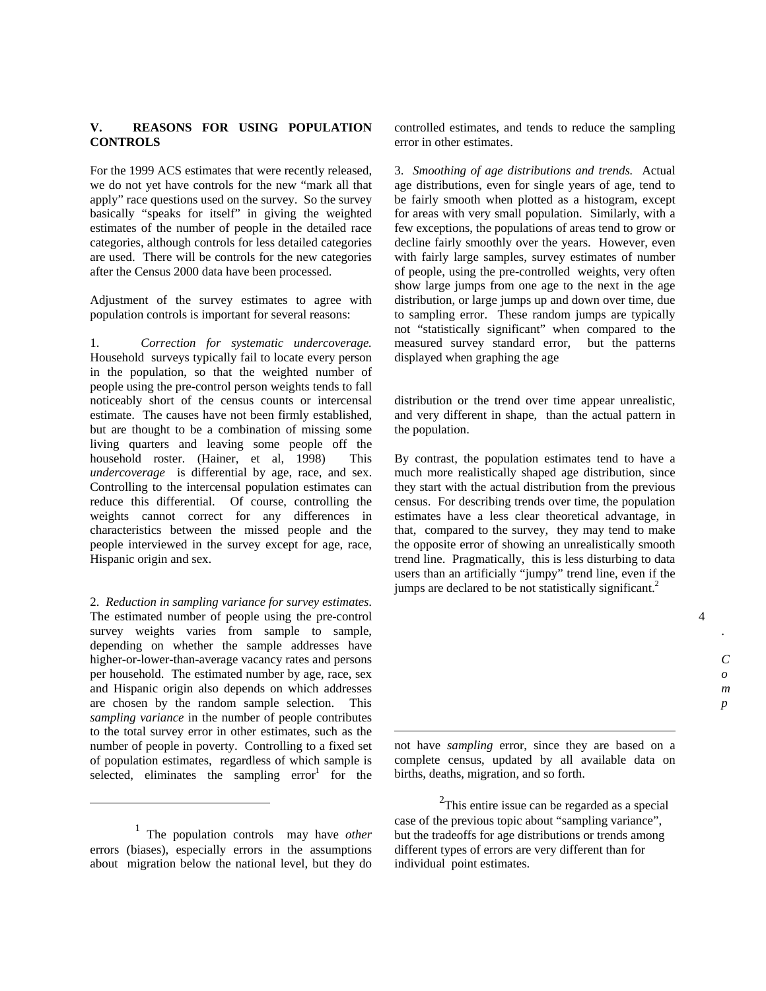# **V. REASONS FOR USING POPULATION CONTROLS**

For the 1999 ACS estimates that were recently released, we do not yet have controls for the new "mark all that apply" race questions used on the survey. So the survey basically "speaks for itself" in giving the weighted estimates of the number of people in the detailed race categories, although controls for less detailed categories are used. There will be controls for the new categories after the Census 2000 data have been processed.

Adjustment of the survey estimates to agree with population controls is important for several reasons:

1. *Correction for systematic undercoverage.* Household surveys typically fail to locate every person in the population, so that the weighted number of people using the pre-control person weights tends to fall noticeably short of the census counts or intercensal estimate. The causes have not been firmly established, but are thought to be a combination of missing some living quarters and leaving some people off the household roster. (Hainer, et al, 1998) This *undercoverage* is differential by age, race, and sex. Controlling to the intercensal population estimates can reduce this differential. Of course, controlling the weights cannot correct for any differences in characteristics between the missed people and the people interviewed in the survey except for age, race, Hispanic origin and sex.

2. *Reduction in sampling variance for survey estimates*. The estimated number of people using the pre-control survey weights varies from sample to sample, depending on whether the sample addresses have higher-or-lower-than-average vacancy rates and persons per household. The estimated number by age, race, sex and Hispanic origin also depends on which addresses are chosen by the random sample selection. This *sampling variance* in the number of people contributes to the total survey error in other estimates, such as the number of people in poverty. Controlling to a fixed set of population estimates, regardless of which sample is selected, eliminates the sampling  $error<sup>1</sup>$  for the

 $\overline{a}$ 

controlled estimates, and tends to reduce the sampling error in other estimates.

3. *Smoothing of age distributions and trends.* Actual age distributions, even for single years of age, tend to be fairly smooth when plotted as a histogram, except for areas with very small population. Similarly, with a few exceptions, the populations of areas tend to grow or decline fairly smoothly over the years. However, even with fairly large samples, survey estimates of number of people, using the pre-controlled weights, very often show large jumps from one age to the next in the age distribution, or large jumps up and down over time, due to sampling error. These random jumps are typically not "statistically significant" when compared to the measured survey standard error, but the patterns displayed when graphing the age

distribution or the trend over time appear unrealistic, and very different in shape, than the actual pattern in the population.

By contrast, the population estimates tend to have a much more realistically shaped age distribution, since they start with the actual distribution from the previous census. For describing trends over time, the population estimates have a less clear theoretical advantage, in that, compared to the survey, they may tend to make the opposite error of showing an unrealistically smooth trend line. Pragmatically, this is less disturbing to data users than an artificially "jumpy" trend line, even if the jumps are declared to be not statistically significant.<sup>2</sup>

4

not have *sampling* error, since they are based on a complete census, updated by all available data on births, deaths, migration, and so forth.

1

 $2$ This entire issue can be regarded as a special case of the previous topic about "sampling variance", but the tradeoffs for age distributions or trends among different types of errors are very different than for individual point estimates.

<sup>1</sup> The population controls may have *other* errors (biases), especially errors in the assumptions about migration below the national level, but they do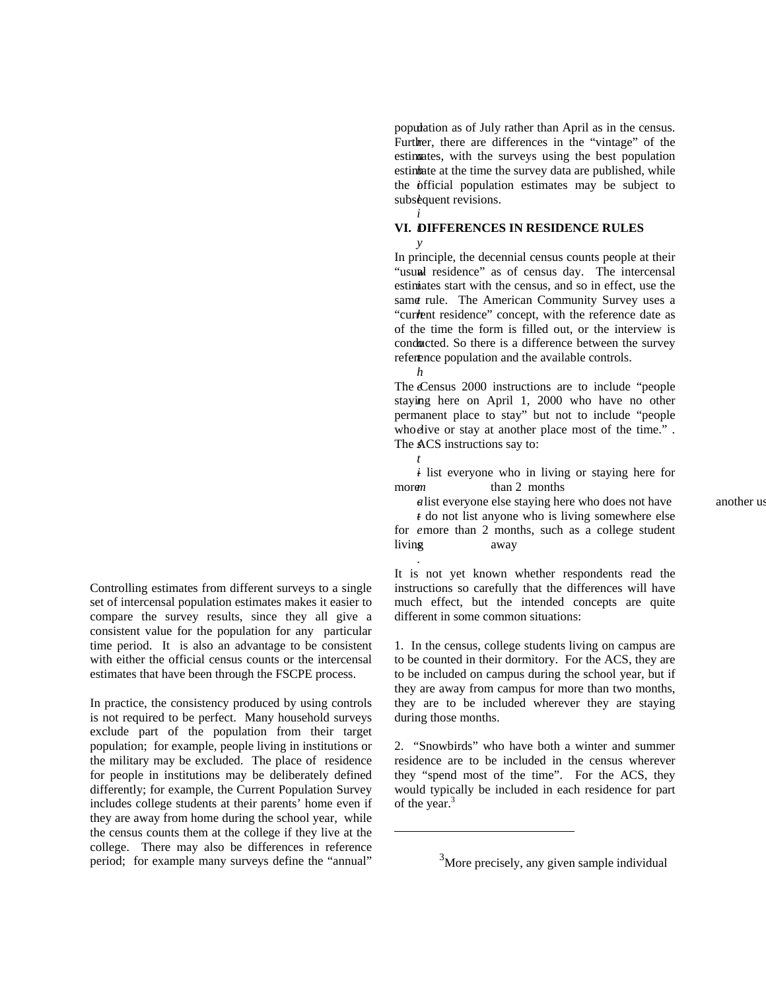population as of July rather than April as in the census. Further, there are differences in the "vintage" of the estimates, with the surveys using the best population estimate at the time the survey data are published, while the official population estimates may be subject to subsequent revisions.

#### *t* **VI. DIFFERENCES IN RESIDENCE RULES**

"usual residence" as of census day. The intercensal estimates start with the census, and so in effect, use the same rule. The American Community Survey uses a "current residence" concept, with the reference date as *o* conducted. So there is a difference between the survey reference population and the available controls. *h* In principle, the decennial census counts people at their of the time the form is filled out, or the interview is

The Census 2000 instructions are to include "people" staying here on April 1, 2000 who have no other who dive or stay at another place most of the time." . The ACS instructions say to: permanent place to stay" but not to include "people

*t*

.

<u>.</u>

*i*

*y*

 $i$  list everyone who in living or staying here for *m* than 2 months

*a* list everyone else staying here who does not have another us *t* do not list anyone who is living somewhere else for emore than 2 months, such as a college student living away

 It is not yet known whether respondents read the instructions so carefully that the differences will have much effect, but the intended concepts are quite different in some common situations:

1. In the census, college students living on campus are to be counted in their dormitory. For the ACS, they are to be included on campus during the school year, but if they are away from campus for more than two months, they are to be included wherever they are staying during those months.

2. "Snowbirds" who have both a winter and summer residence are to be included in the census wherever they "spend most of the time". For the ACS, they would typically be included in each residence for part of the year.<sup>3</sup>

 $3<sup>3</sup>$ More precisely, any given sample individual

Controlling estimates from different surveys to a single set of intercensal population estimates makes it easier to compare the survey results, since they all give a consistent value for the population for any particular time period. It is also an advantage to be consistent with either the official census counts or the intercensal estimates that have been through the FSCPE process.

In practice, the consistency produced by using controls is not required to be perfect. Many household surveys exclude part of the population from their target population; for example, people living in institutions or the military may be excluded. The place of residence for people in institutions may be deliberately defined differently; for example, the Current Population Survey includes college students at their parents' home even if they are away from home during the school year, while the census counts them at the college if they live at the college. There may also be differences in reference period; for example many surveys define the "annual"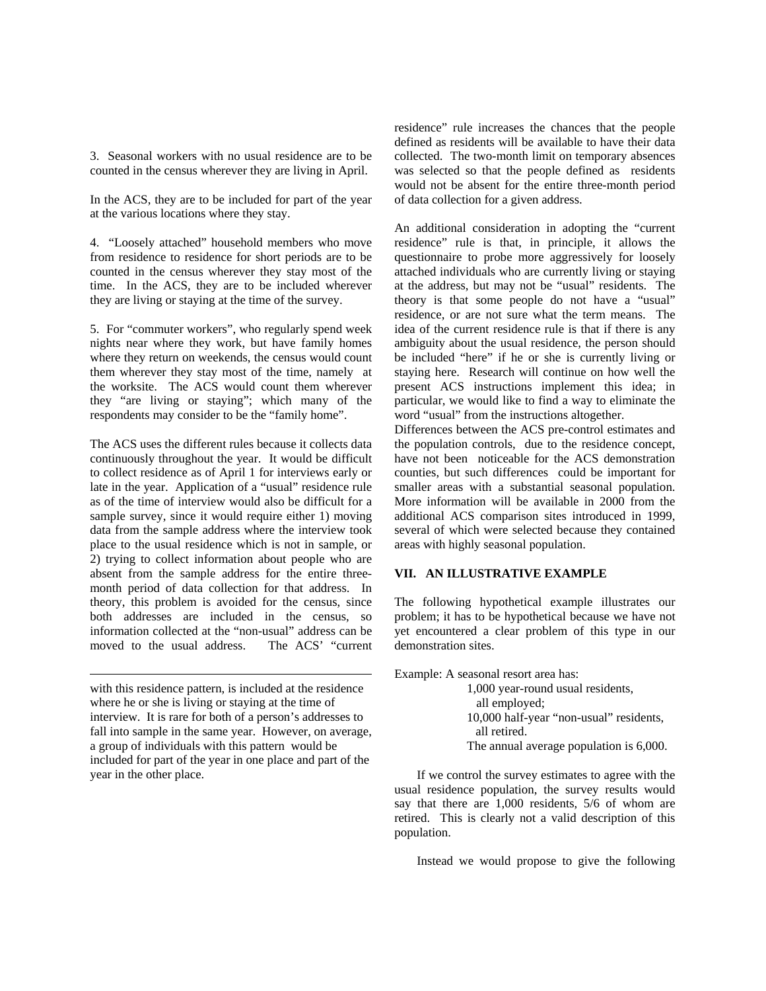3. Seasonal workers with no usual residence are to be counted in the census wherever they are living in April.

In the ACS, they are to be included for part of the year at the various locations where they stay.

4. "Loosely attached" household members who move from residence to residence for short periods are to be counted in the census wherever they stay most of the time. In the ACS, they are to be included wherever they are living or staying at the time of the survey.

5. For "commuter workers", who regularly spend week nights near where they work, but have family homes where they return on weekends, the census would count them wherever they stay most of the time, namely at the worksite. The ACS would count them wherever they "are living or staying"; which many of the respondents may consider to be the "family home".

The ACS uses the different rules because it collects data continuously throughout the year. It would be difficult to collect residence as of April 1 for interviews early or late in the year. Application of a "usual" residence rule as of the time of interview would also be difficult for a sample survey, since it would require either 1) moving data from the sample address where the interview took place to the usual residence which is not in sample, or 2) trying to collect information about people who are absent from the sample address for the entire threemonth period of data collection for that address. In theory, this problem is avoided for the census, since both addresses are included in the census, so information collected at the "non-usual" address can be moved to the usual address. The ACS' "current

with this residence pattern, is included at the residence where he or she is living or staying at the time of interview. It is rare for both of a person's addresses to fall into sample in the same year. However, on average, a group of individuals with this pattern would be included for part of the year in one place and part of the year in the other place.

 $\overline{a}$ 

residence" rule increases the chances that the people defined as residents will be available to have their data collected. The two-month limit on temporary absences was selected so that the people defined as residents would not be absent for the entire three-month period of data collection for a given address.

An additional consideration in adopting the "current residence" rule is that, in principle, it allows the questionnaire to probe more aggressively for loosely attached individuals who are currently living or staying at the address, but may not be "usual" residents. The theory is that some people do not have a "usual" residence, or are not sure what the term means. The idea of the current residence rule is that if there is any ambiguity about the usual residence, the person should be included "here" if he or she is currently living or staying here. Research will continue on how well the present ACS instructions implement this idea; in particular, we would like to find a way to eliminate the word "usual" from the instructions altogether.

Differences between the ACS pre-control estimates and the population controls, due to the residence concept, have not been noticeable for the ACS demonstration counties, but such differences could be important for smaller areas with a substantial seasonal population. More information will be available in 2000 from the additional ACS comparison sites introduced in 1999, several of which were selected because they contained areas with highly seasonal population.

#### **VII. AN ILLUSTRATIVE EXAMPLE**

The following hypothetical example illustrates our problem; it has to be hypothetical because we have not yet encountered a clear problem of this type in our demonstration sites.

Example: A seasonal resort area has: 1,000 year-round usual residents, all employed; 10,000 half-year "non-usual" residents, all retired. The annual average population is 6,000.

 If we control the survey estimates to agree with the usual residence population, the survey results would say that there are 1,000 residents, 5/6 of whom are retired. This is clearly not a valid description of this population.

Instead we would propose to give the following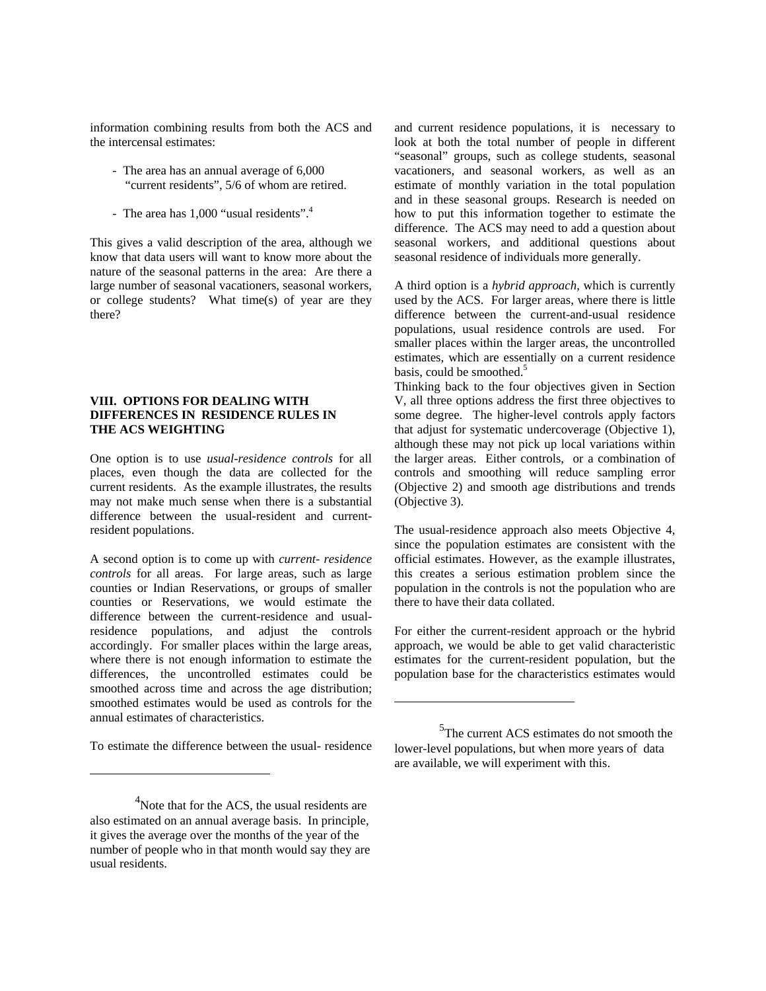information combining results from both the ACS and the intercensal estimates:

- The area has an annual average of 6,000 "current residents", 5/6 of whom are retired.
- The area has 1,000 "usual residents".<sup>4</sup>

This gives a valid description of the area, although we know that data users will want to know more about the nature of the seasonal patterns in the area: Are there a large number of seasonal vacationers, seasonal workers, or college students? What time(s) of year are they there?

#### **VIII. OPTIONS FOR DEALING WITH DIFFERENCES IN RESIDENCE RULES IN THE ACS WEIGHTING**

One option is to use *usual-residence controls* for all places, even though the data are collected for the current residents. As the example illustrates, the results may not make much sense when there is a substantial difference between the usual-resident and currentresident populations.

A second option is to come up with *current- residence controls* for all areas. For large areas, such as large counties or Indian Reservations, or groups of smaller counties or Reservations, we would estimate the difference between the current-residence and usualresidence populations, and adjust the controls accordingly. For smaller places within the large areas, where there is not enough information to estimate the differences, the uncontrolled estimates could be smoothed across time and across the age distribution; smoothed estimates would be used as controls for the annual estimates of characteristics.

To estimate the difference between the usual- residence

 $\overline{a}$ 

and current residence populations, it is necessary to look at both the total number of people in different "seasonal" groups, such as college students, seasonal vacationers, and seasonal workers, as well as an estimate of monthly variation in the total population and in these seasonal groups. Research is needed on how to put this information together to estimate the difference. The ACS may need to add a question about seasonal workers, and additional questions about seasonal residence of individuals more generally.

A third option is a *hybrid approach*, which is currently used by the ACS. For larger areas, where there is little difference between the current-and-usual residence populations, usual residence controls are used. For smaller places within the larger areas, the uncontrolled estimates, which are essentially on a current residence basis, could be smoothed.<sup>5</sup>

Thinking back to the four objectives given in Section V, all three options address the first three objectives to some degree. The higher-level controls apply factors that adjust for systematic undercoverage (Objective 1), although these may not pick up local variations within the larger areas. Either controls, or a combination of controls and smoothing will reduce sampling error (Objective 2) and smooth age distributions and trends (Objective 3).

The usual-residence approach also meets Objective 4, since the population estimates are consistent with the official estimates. However, as the example illustrates, this creates a serious estimation problem since the population in the controls is not the population who are there to have their data collated.

For either the current-resident approach or the hybrid approach, we would be able to get valid characteristic estimates for the current-resident population, but the population base for the characteristics estimates would

<u>.</u>

<sup>&</sup>lt;sup>4</sup>Note that for the ACS, the usual residents are also estimated on an annual average basis. In principle, it gives the average over the months of the year of the number of people who in that month would say they are usual residents.

<sup>&</sup>lt;sup>5</sup>The current ACS estimates do not smooth the lower-level populations, but when more years of data are available, we will experiment with this.